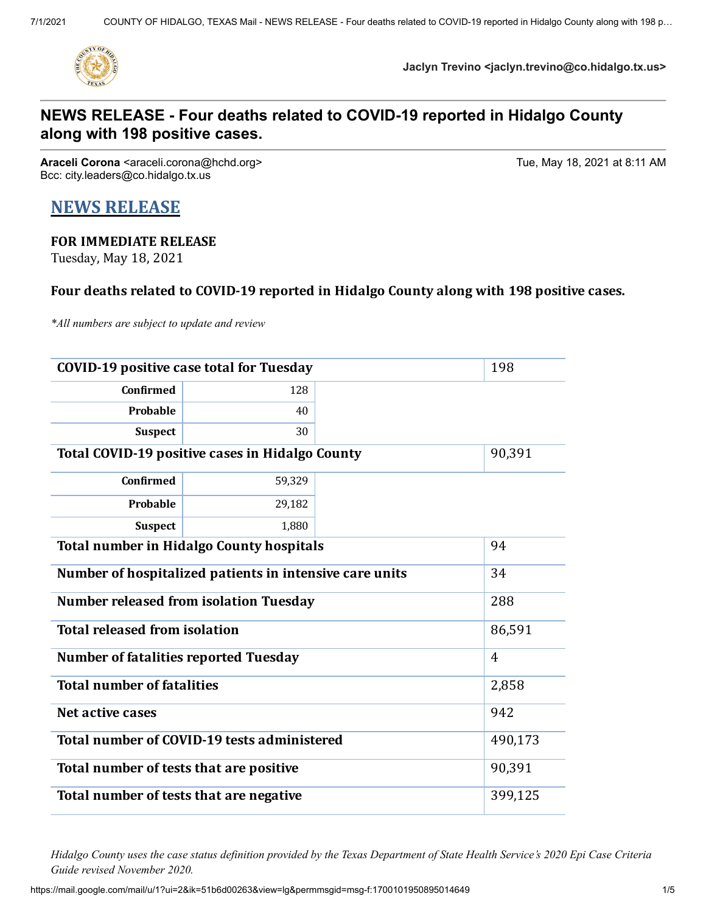

**Jaclyn Trevino <jaclyn.trevino@co.hidalgo.tx.us>**

## **NEWS RELEASE - Four deaths related to COVID-19 reported in Hidalgo County along with 198 positive cases.**

**Araceli Corona** <araceli.corona@hchd.org> Tue, May 18, 2021 at 8:11 AM Bcc: city.leaders@co.hidalgo.tx.us

# **NEWS RELEASE**

## **FOR IMMEDIATE RELEASE**

Tuesday, May 18, 2021

### **Four deaths related to COVID-19 reported in Hidalgo County along with 198 positive cases.**

*\*All numbers are subject to update and review*

| <b>COVID-19 positive case total for Tuesday</b>         | 198            |  |  |
|---------------------------------------------------------|----------------|--|--|
| <b>Confirmed</b>                                        | 128            |  |  |
| Probable                                                | 40             |  |  |
| <b>Suspect</b>                                          | 30             |  |  |
| <b>Total COVID-19 positive cases in Hidalgo County</b>  | 90,391         |  |  |
| <b>Confirmed</b>                                        | 59,329         |  |  |
| <b>Probable</b>                                         | 29,182         |  |  |
| <b>Suspect</b>                                          | 1,880          |  |  |
| <b>Total number in Hidalgo County hospitals</b>         | 94             |  |  |
| Number of hospitalized patients in intensive care units | 34             |  |  |
| <b>Number released from isolation Tuesday</b>           | 288            |  |  |
| <b>Total released from isolation</b>                    | 86,591         |  |  |
| <b>Number of fatalities reported Tuesday</b>            | $\overline{4}$ |  |  |
| <b>Total number of fatalities</b>                       | 2,858          |  |  |
| Net active cases                                        | 942            |  |  |
| Total number of COVID-19 tests administered             | 490,173        |  |  |
| Total number of tests that are positive                 | 90,391         |  |  |
| Total number of tests that are negative                 | 399,125        |  |  |

Hidalgo County uses the case status definition provided by the Texas Department of State Health Service's 2020 Epi Case Criteria *Guide revised November 2020.*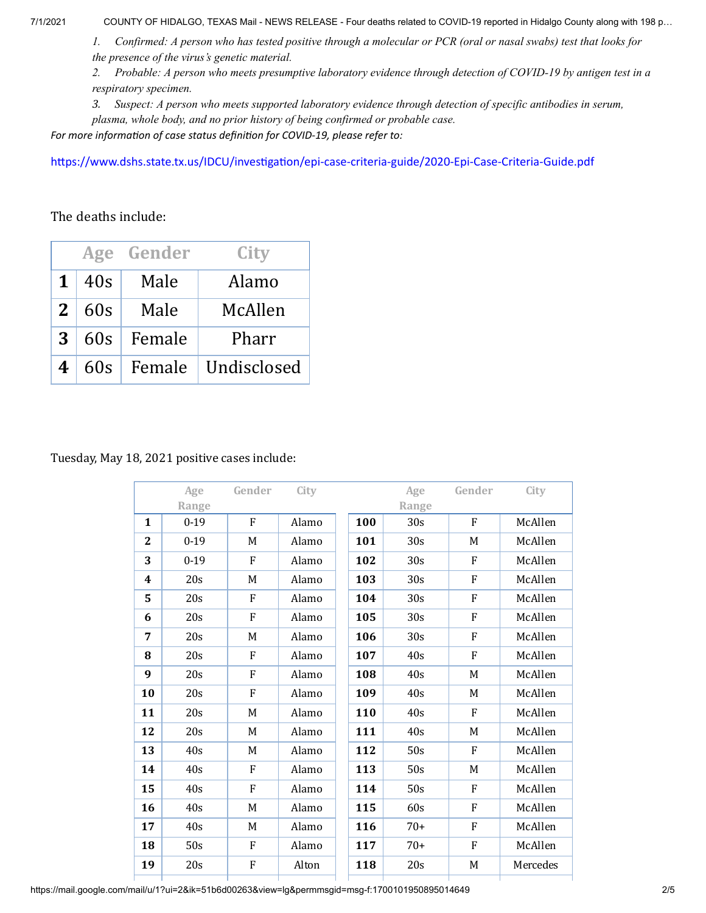7/1/2021 COUNTY OF HIDALGO, TEXAS Mail - NEWS RELEASE - Four deaths related to COVID-19 reported in Hidalgo County along with 198 p…

1. Confirmed: A person who has tested positive through a molecular or PCR (oral or nasal swabs) test that looks for *the presence of the virus's genetic material.*

2. Probable: A person who meets presumptive laboratory evidence through detection of COVID-19 by antigen test in a *respiratory specimen.*

*3. Suspect: A person who meets supported laboratory evidence through detection of specific antibodies in serum, plasma, whole body, and no prior history of being confirmed or probable case.*

*For more information of case status definition for COVID-19, please refer to:*

<https://www.dshs.state.tx.us/IDCU/investigation/epi-case-criteria-guide/2020-Epi-Case-Criteria-Guide.pdf>

The deaths include:

|                |     | Age Gender | City        |
|----------------|-----|------------|-------------|
| 1              | 40s | Male       | Alamo       |
| 2 <sup>1</sup> | 60s | Male       | McAllen     |
| 3              | 60s | Female     | Pharr       |
| 4              | 60s | Female     | Undisclosed |

#### Tuesday, May 18, 2021 positive cases include:

|                | Age      | Gender | City  |     | Age             | Gender | City     |
|----------------|----------|--------|-------|-----|-----------------|--------|----------|
|                | Range    |        |       |     | Range           |        |          |
| $\mathbf{1}$   | $0-19$   | F      | Alamo | 100 | 30 <sub>s</sub> | F      | McAllen  |
| $\overline{2}$ | $0 - 19$ | M      | Alamo | 101 | 30 <sub>s</sub> | M      | McAllen  |
| 3              | $0-19$   | F      | Alamo | 102 | 30 <sub>s</sub> | F      | McAllen  |
| 4              | 20s      | M      | Alamo | 103 | 30 <sub>s</sub> | F      | McAllen  |
| 5              | 20s      | F      | Alamo | 104 | 30 <sub>s</sub> | F      | McAllen  |
| 6              | 20s      | F      | Alamo | 105 | 30 <sub>s</sub> | F      | McAllen  |
| 7              | 20s      | M      | Alamo | 106 | 30 <sub>s</sub> | F      | McAllen  |
| 8              | 20s      | F      | Alamo | 107 | 40s             | F      | McAllen  |
| 9              | 20s      | F      | Alamo | 108 | 40s             | M      | McAllen  |
| 10             | 20s      | F      | Alamo | 109 | 40s             | M      | McAllen  |
| 11             | 20s      | M      | Alamo | 110 | 40s             | F      | McAllen  |
| 12             | 20s      | M      | Alamo | 111 | 40s             | M      | McAllen  |
| 13             | 40s      | M      | Alamo | 112 | 50s             | F      | McAllen  |
| 14             | 40s      | F      | Alamo | 113 | 50s             | M      | McAllen  |
| 15             | 40s      | F      | Alamo | 114 | 50s             | F      | McAllen  |
| 16             | 40s      | M      | Alamo | 115 | 60s             | F      | McAllen  |
| 17             | 40s      | M      | Alamo | 116 | $70+$           | F      | McAllen  |
| 18             | 50s      | F      | Alamo | 117 | $70+$           | F      | McAllen  |
| 19             | 20s      | F      | Alton | 118 | 20s             | M      | Mercedes |

https://mail.google.com/mail/u/1?ui=2&ik=51b6d00263&view=lg&permmsgid=msg-f:1700101950895014649 2/5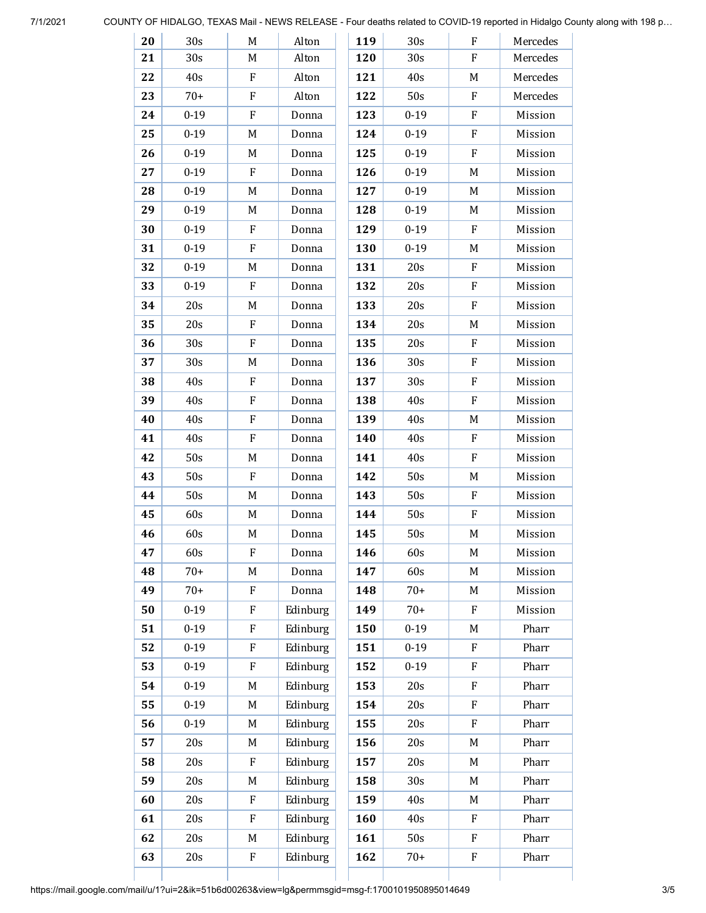| 20 | 30 <sub>s</sub> | M | Alton    | 119 | 30 <sub>s</sub> | F | Mercedes |
|----|-----------------|---|----------|-----|-----------------|---|----------|
| 21 | 30 <sub>s</sub> | M | Alton    | 120 | 30s             | F | Mercedes |
| 22 | 40s             | F | Alton    | 121 | 40s             | M | Mercedes |
| 23 | $70+$           | F | Alton    | 122 | 50s             | F | Mercedes |
| 24 | $0 - 19$        | F | Donna    | 123 | $0 - 19$        | F | Mission  |
| 25 | $0-19$          | M | Donna    | 124 | $0 - 19$        | F | Mission  |
| 26 | $0 - 19$        | M | Donna    | 125 | $0 - 19$        | F | Mission  |
| 27 | $0 - 19$        | F | Donna    | 126 | $0 - 19$        | M | Mission  |
| 28 | $0 - 19$        | M | Donna    | 127 | $0 - 19$        | M | Mission  |
| 29 | $0 - 19$        | M | Donna    | 128 | $0 - 19$        | M | Mission  |
| 30 | $0 - 19$        | F | Donna    | 129 | $0 - 19$        | F | Mission  |
| 31 | $0 - 19$        | F | Donna    | 130 | $0 - 19$        | M | Mission  |
| 32 | $0 - 19$        | M | Donna    | 131 | 20s             | F | Mission  |
| 33 | $0-19$          | F | Donna    | 132 | 20s             | F | Mission  |
| 34 | 20s             | M | Donna    | 133 | 20s             | F | Mission  |
| 35 | 20s             | F | Donna    | 134 | 20s             | M | Mission  |
| 36 | 30s             | F | Donna    | 135 | 20s             | F | Mission  |
| 37 | 30s             | M | Donna    | 136 | 30s             | F | Mission  |
| 38 | 40s             | F | Donna    | 137 | 30s             | F | Mission  |
| 39 | 40s             | F | Donna    | 138 | 40s             | F | Mission  |
| 40 | 40s             | F | Donna    | 139 | 40s             | M | Mission  |
| 41 | 40s             | F | Donna    | 140 | 40s             | F | Mission  |
| 42 | 50s             | M | Donna    | 141 | 40s             | F | Mission  |
| 43 | 50s             | F | Donna    | 142 | 50s             | M | Mission  |
| 44 | 50s             | M | Donna    | 143 | 50s             | F | Mission  |
| 45 | 60s             | M | Donna    | 144 | 50s             | F | Mission  |
| 46 | 60s             | M | Donna    | 145 | 50s             | M | Mission  |
| 47 | 60s             | F | Donna    | 146 | 60s             | M | Mission  |
| 48 | $70+$           | M | Donna    | 147 | 60s             | M | Mission  |
| 49 | $70+$           | F | Donna    | 148 | $70+$           | M | Mission  |
| 50 | $0 - 19$        | F | Edinburg | 149 | $70+$           | F | Mission  |
| 51 | $0 - 19$        | F | Edinburg | 150 | $0 - 19$        | M | Pharr    |
| 52 | $0 - 19$        | F | Edinburg | 151 | $0 - 19$        | F | Pharr    |
| 53 | $0 - 19$        | F | Edinburg | 152 | $0 - 19$        | F | Pharr    |
| 54 | $0 - 19$        | M | Edinburg | 153 | 20s             | F | Pharr    |
| 55 | $0 - 19$        | M | Edinburg | 154 | 20s             | F | Pharr    |
| 56 | $0 - 19$        | M | Edinburg | 155 | 20s             | F | Pharr    |
| 57 | 20s             | M | Edinburg | 156 | 20s             | M | Pharr    |
| 58 | 20s             | F | Edinburg | 157 | 20s             | M | Pharr    |
| 59 | 20s             | M | Edinburg | 158 | 30 <sub>s</sub> | M | Pharr    |
| 60 | 20s             | F | Edinburg | 159 | 40s             | M | Pharr    |
| 61 | 20s             | F | Edinburg | 160 | 40s             | F | Pharr    |
| 62 | 20s             | M | Edinburg | 161 | 50s             | F | Pharr    |
| 63 | 20s             | F | Edinburg | 162 | $70+$           | F | Pharr    |
|    |                 |   |          |     |                 |   |          |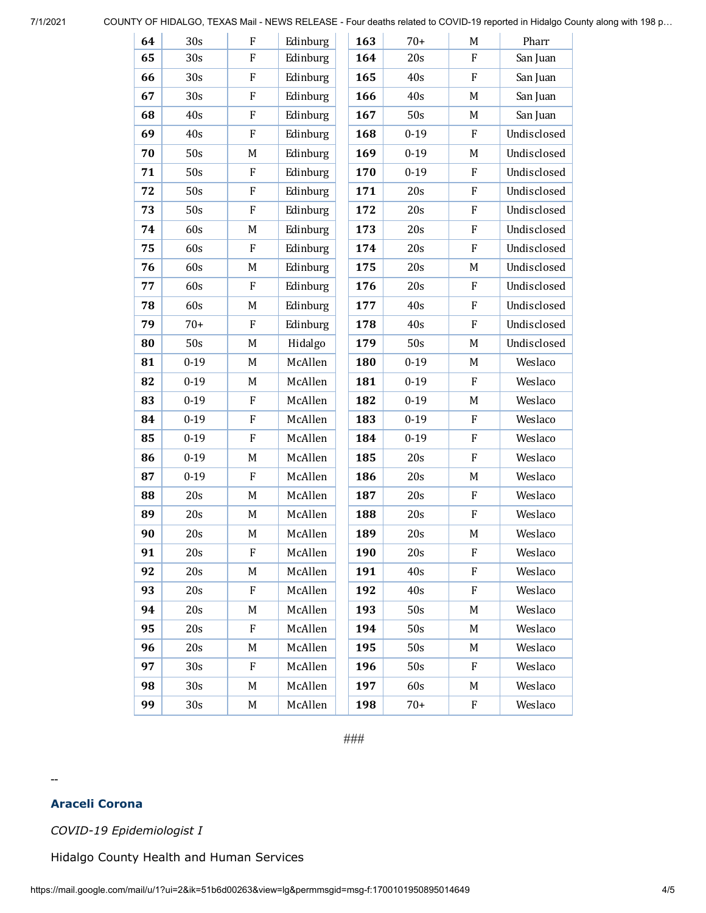7/1/2021 COUNTY OF HIDALGO, TEXAS Mail - NEWS RELEASE - Four deaths related to COVID-19 reported in Hidalgo County along with 198 p…

| 64 | 30s             | ${\bf F}$   | Edinburg | 163 | $70+$    | M         | Pharr       |
|----|-----------------|-------------|----------|-----|----------|-----------|-------------|
| 65 | 30s             | ${\bf F}$   | Edinburg | 164 | 20s      | ${\bf F}$ | San Juan    |
| 66 | 30s             | F           | Edinburg | 165 | 40s      | $\rm F$   | San Juan    |
| 67 | 30s             | ${\bf F}$   | Edinburg | 166 | 40s      | M         | San Juan    |
| 68 | 40s             | F           | Edinburg | 167 | 50s      | M         | San Juan    |
| 69 | 40s             | F           | Edinburg | 168 | $0 - 19$ | F         | Undisclosed |
| 70 | 50s             | M           | Edinburg | 169 | $0 - 19$ | M         | Undisclosed |
| 71 | 50s             | $\rm F$     | Edinburg | 170 | $0 - 19$ | $\rm F$   | Undisclosed |
| 72 | 50s             | ${\bf F}$   | Edinburg | 171 | 20s      | F         | Undisclosed |
| 73 | 50s             | $\rm F$     | Edinburg | 172 | 20s      | $\rm F$   | Undisclosed |
| 74 | 60s             | M           | Edinburg | 173 | 20s      | $\rm F$   | Undisclosed |
| 75 | 60s             | $\rm F$     | Edinburg | 174 | 20s      | $\rm F$   | Undisclosed |
| 76 | 60s             | M           | Edinburg | 175 | 20s      | M         | Undisclosed |
| 77 | 60s             | $\rm F$     | Edinburg | 176 | 20s      | F         | Undisclosed |
| 78 | 60s             | M           | Edinburg | 177 | 40s      | F         | Undisclosed |
| 79 | $70+$           | $\rm F$     | Edinburg | 178 | 40s      | $\rm F$   | Undisclosed |
| 80 | 50s             | M           | Hidalgo  | 179 | 50s      | M         | Undisclosed |
| 81 | $0 - 19$        | M           | McAllen  | 180 | $0 - 19$ | M         | Weslaco     |
| 82 | $0 - 19$        | M           | McAllen  | 181 | $0 - 19$ | F         | Weslaco     |
| 83 | $0 - 19$        | F           | McAllen  | 182 | $0 - 19$ | M         | Weslaco     |
| 84 | $0 - 19$        | F           | McAllen  | 183 | $0 - 19$ | F         | Weslaco     |
| 85 | $0 - 19$        | F           | McAllen  | 184 | $0 - 19$ | $\rm F$   | Weslaco     |
| 86 | $0 - 19$        | M           | McAllen  | 185 | 20s      | F         | Weslaco     |
| 87 | $0 - 19$        | $\mathbf F$ | McAllen  | 186 | 20s      | M         | Weslaco     |
| 88 | 20s             | M           | McAllen  | 187 | 20s      | F         | Weslaco     |
| 89 | 20s             | M           | McAllen  | 188 | 20s      | F         | Weslaco     |
| 90 | 20s             | M           | McAllen  | 189 | 20s      | M         | Weslaco     |
| 91 | 20s             | F           | McAllen  | 190 | 20s      | ${\bf F}$ | Weslaco     |
| 92 | 20s             | M           | McAllen  | 191 | 40s      | F         | Weslaco     |
| 93 | 20s             | F           | McAllen  | 192 | 40s      | F         | Weslaco     |
| 94 | 20s             | M           | McAllen  | 193 | 50s      | M         | Weslaco     |
| 95 | 20s             | F           | McAllen  | 194 | 50s      | M         | Weslaco     |
| 96 | 20s             | M           | McAllen  | 195 | 50s      | M         | Weslaco     |
| 97 | 30s             | F           | McAllen  | 196 | 50s      | F         | Weslaco     |
| 98 | 30 <sub>s</sub> | M           | McAllen  | 197 | 60s      | M         | Weslaco     |
| 99 | 30s             | M           | McAllen  | 198 | $70+$    | F         | Weslaco     |

*###*

#### **Araceli Corona**

--

*COVID-19 Epidemiologist I*

Hidalgo County Health and Human Services